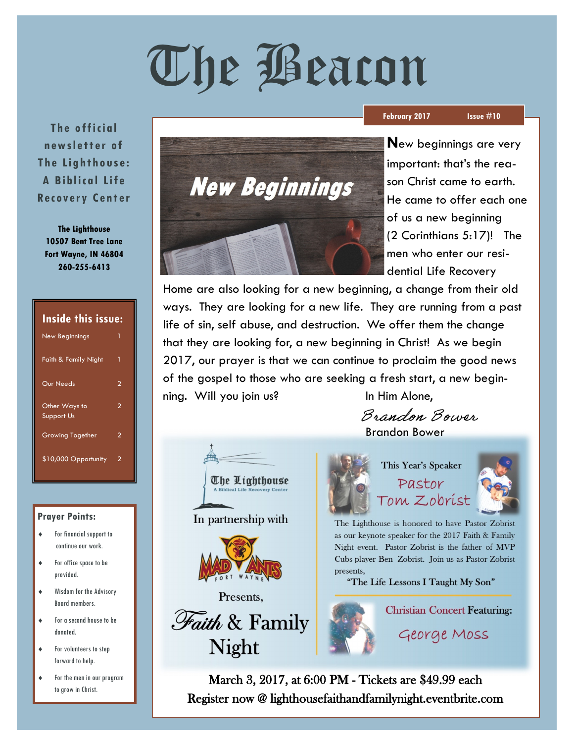# The Beacon

**The o ffi cial new slett er of The Lig htho use: A Biblica l Life Recovery Center** 

**The Lighthouse 10507 Bent Tree Lane Fort Wayne, IN 46804 260-255-6413**

# **Inside this issue:**

| <b>New Beginnings</b>              | 1 |
|------------------------------------|---|
| <b>Faith &amp; Family Night</b>    | 1 |
| Our Needs                          | 2 |
| Other Ways to<br><b>Support Us</b> | 2 |
| <b>Growing Together</b>            | 2 |
| \$10,000 Opportunity               | 2 |

## **Prayer Points:**

- For financial support to continue our work.
- For office space to be provided.
- Wisdom for the Advisory Board members.
- For a second house to be donated.
- For volunteers to step forward to help.
- For the men in our program to grow in Christ.



### **February 2017 Issue #10**

**N**ew beginnings are very important: that's the reason Christ came to earth. He came to offer each one of us a new beginning (2 Corinthians 5:17)! The men who enter our residential Life Recovery

Home are also looking for a new beginning, a change from their old ways. They are looking for a new life. They are running from a past life of sin, self abuse, and destruction. We offer them the change that they are looking for, a new beginning in Christ! As we begin 2017, our prayer is that we can continue to proclaim the good news of the gospel to those who are seeking a fresh start, a new beginning. Will you join us? In Him Alone,



In partnership with







This Year's Speaker Pastor

Brandon Bower

Brandon Bower

Tom Zobríst



The Lighthouse is honored to have Pastor Zobrist as our keynote speaker for the 2017 Faith & Family Night event. Pastor Zobrist is the father of MVP Cubs player Ben Zobrist. Join us as Pastor Zobrist presents.

"The Life Lessons I Taught My Son"



**Christian Concert Featuring:** 

George Moss

March 3, 2017, at 6:00 PM - Tickets are \$49.99 each Register now @ lighthousefaithandfamilynight.eventbrite.com